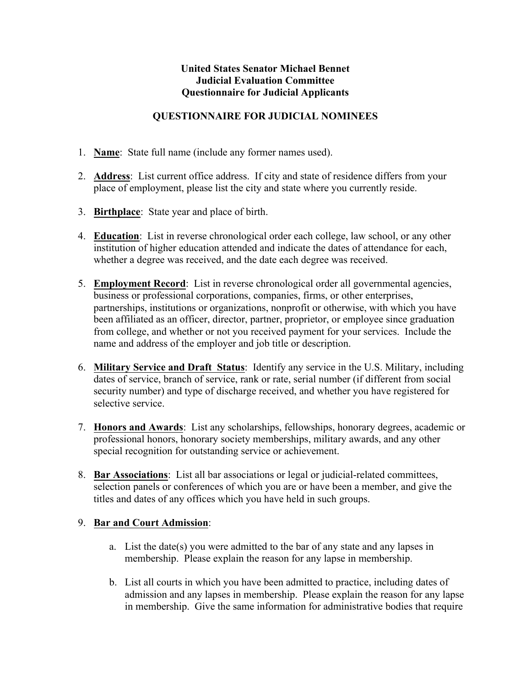## **United States Senator Michael Bennet Judicial Evaluation Committee Questionnaire for Judicial Applicants**

### **QUESTIONNAIRE FOR JUDICIAL NOMINEES**

- 1. **Name**: State full name (include any former names used).
- 2. **Address**: List current office address. If city and state of residence differs from your place of employment, please list the city and state where you currently reside.
- 3. **Birthplace**: State year and place of birth.
- 4. **Education**: List in reverse chronological order each college, law school, or any other institution of higher education attended and indicate the dates of attendance for each, whether a degree was received, and the date each degree was received.
- 5. **Employment Record**: List in reverse chronological order all governmental agencies, business or professional corporations, companies, firms, or other enterprises, partnerships, institutions or organizations, nonprofit or otherwise, with which you have been affiliated as an officer, director, partner, proprietor, or employee since graduation from college, and whether or not you received payment for your services. Include the name and address of the employer and job title or description.
- 6. **Military Service and Draft Status**: Identify any service in the U.S. Military, including dates of service, branch of service, rank or rate, serial number (if different from social security number) and type of discharge received, and whether you have registered for selective service.
- 7. **Honors and Awards**: List any scholarships, fellowships, honorary degrees, academic or professional honors, honorary society memberships, military awards, and any other special recognition for outstanding service or achievement.
- 8. **Bar Associations**: List all bar associations or legal or judicial-related committees, selection panels or conferences of which you are or have been a member, and give the titles and dates of any offices which you have held in such groups.

### 9. **Bar and Court Admission**:

- a. List the date(s) you were admitted to the bar of any state and any lapses in membership. Please explain the reason for any lapse in membership.
- b. List all courts in which you have been admitted to practice, including dates of admission and any lapses in membership. Please explain the reason for any lapse in membership. Give the same information for administrative bodies that require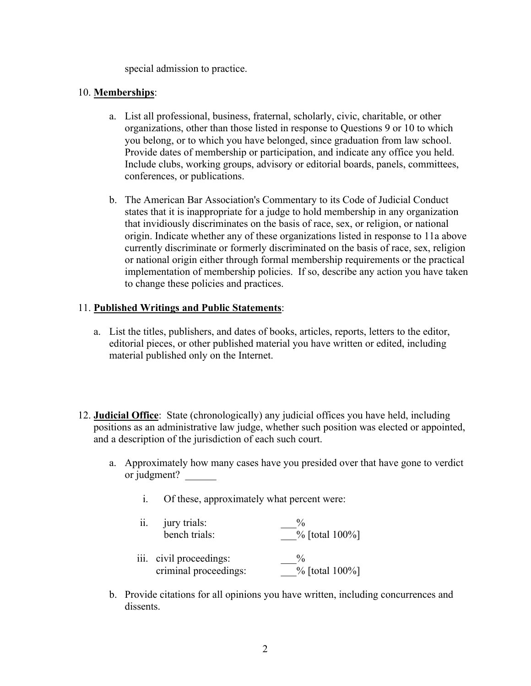special admission to practice.

#### 10. **Memberships**:

- a. List all professional, business, fraternal, scholarly, civic, charitable, or other organizations, other than those listed in response to Questions 9 or 10 to which you belong, or to which you have belonged, since graduation from law school. Provide dates of membership or participation, and indicate any office you held. Include clubs, working groups, advisory or editorial boards, panels, committees, conferences, or publications.
- b. The American Bar Association's Commentary to its Code of Judicial Conduct states that it is inappropriate for a judge to hold membership in any organization that invidiously discriminates on the basis of race, sex, or religion, or national origin. Indicate whether any of these organizations listed in response to 11a above currently discriminate or formerly discriminated on the basis of race, sex, religion or national origin either through formal membership requirements or the practical implementation of membership policies. If so, describe any action you have taken to change these policies and practices.

### 11. **Published Writings and Public Statements**:

- a. List the titles, publishers, and dates of books, articles, reports, letters to the editor, editorial pieces, or other published material you have written or edited, including material published only on the Internet.
- 12. **Judicial Office**: State (chronologically) any judicial offices you have held, including positions as an administrative law judge, whether such position was elected or appointed, and a description of the jurisdiction of each such court.
	- a. Approximately how many cases have you presided over that have gone to verdict or judgment?
		- i. Of these, approximately what percent were:
		- ii. jury trials: jury trials:  $\frac{\%}{\%}$  bench trials:  $\frac{\%}{\%}$  [total 100%] iii. civil proceedings:  $\frac{\%}{\%}$ criminal proceedings: \_\_\_% [total 100%]
	- b. Provide citations for all opinions you have written, including concurrences and dissents.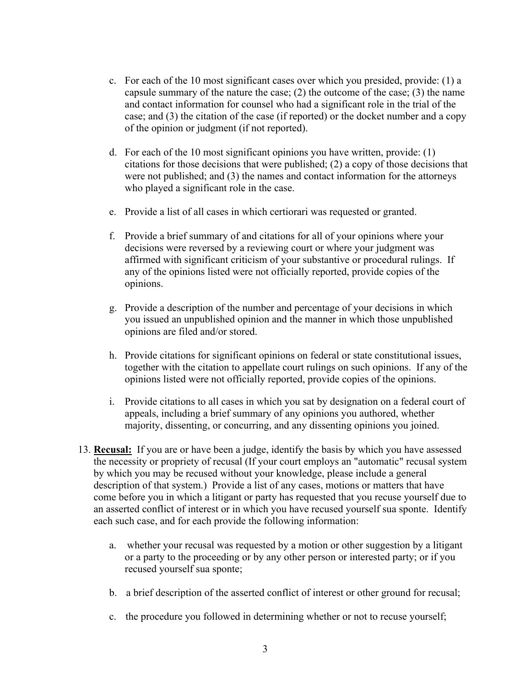- c. For each of the 10 most significant cases over which you presided, provide: (1) a capsule summary of the nature the case; (2) the outcome of the case; (3) the name and contact information for counsel who had a significant role in the trial of the case; and (3) the citation of the case (if reported) or the docket number and a copy of the opinion or judgment (if not reported).
- d. For each of the 10 most significant opinions you have written, provide: (1) citations for those decisions that were published; (2) a copy of those decisions that were not published; and (3) the names and contact information for the attorneys who played a significant role in the case.
- e. Provide a list of all cases in which certiorari was requested or granted.
- f. Provide a brief summary of and citations for all of your opinions where your decisions were reversed by a reviewing court or where your judgment was affirmed with significant criticism of your substantive or procedural rulings. If any of the opinions listed were not officially reported, provide copies of the opinions.
- g. Provide a description of the number and percentage of your decisions in which you issued an unpublished opinion and the manner in which those unpublished opinions are filed and/or stored.
- h. Provide citations for significant opinions on federal or state constitutional issues, together with the citation to appellate court rulings on such opinions. If any of the opinions listed were not officially reported, provide copies of the opinions.
- i. Provide citations to all cases in which you sat by designation on a federal court of appeals, including a brief summary of any opinions you authored, whether majority, dissenting, or concurring, and any dissenting opinions you joined.
- 13. **Recusal:** If you are or have been a judge, identify the basis by which you have assessed the necessity or propriety of recusal (If your court employs an "automatic" recusal system by which you may be recused without your knowledge, please include a general description of that system.) Provide a list of any cases, motions or matters that have come before you in which a litigant or party has requested that you recuse yourself due to an asserted conflict of interest or in which you have recused yourself sua sponte. Identify each such case, and for each provide the following information:
	- a. whether your recusal was requested by a motion or other suggestion by a litigant or a party to the proceeding or by any other person or interested party; or if you recused yourself sua sponte;
	- b. a brief description of the asserted conflict of interest or other ground for recusal;
	- c. the procedure you followed in determining whether or not to recuse yourself;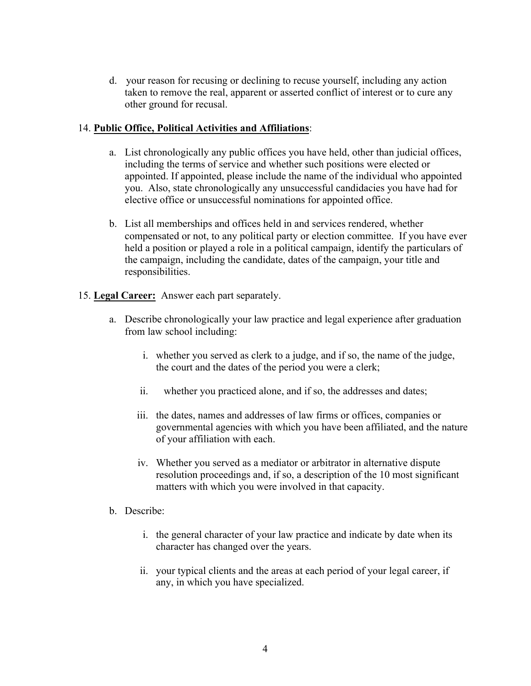d. your reason for recusing or declining to recuse yourself, including any action taken to remove the real, apparent or asserted conflict of interest or to cure any other ground for recusal.

## 14. **Public Office, Political Activities and Affiliations**:

- a. List chronologically any public offices you have held, other than judicial offices, including the terms of service and whether such positions were elected or appointed. If appointed, please include the name of the individual who appointed you. Also, state chronologically any unsuccessful candidacies you have had for elective office or unsuccessful nominations for appointed office.
- b. List all memberships and offices held in and services rendered, whether compensated or not, to any political party or election committee. If you have ever held a position or played a role in a political campaign, identify the particulars of the campaign, including the candidate, dates of the campaign, your title and responsibilities.
- 15. **Legal Career:** Answer each part separately.
	- a. Describe chronologically your law practice and legal experience after graduation from law school including:
		- i. whether you served as clerk to a judge, and if so, the name of the judge, the court and the dates of the period you were a clerk;
		- ii. whether you practiced alone, and if so, the addresses and dates;
		- iii. the dates, names and addresses of law firms or offices, companies or governmental agencies with which you have been affiliated, and the nature of your affiliation with each.
		- iv. Whether you served as a mediator or arbitrator in alternative dispute resolution proceedings and, if so, a description of the 10 most significant matters with which you were involved in that capacity.
	- b. Describe:
		- i. the general character of your law practice and indicate by date when its character has changed over the years.
		- ii. your typical clients and the areas at each period of your legal career, if any, in which you have specialized.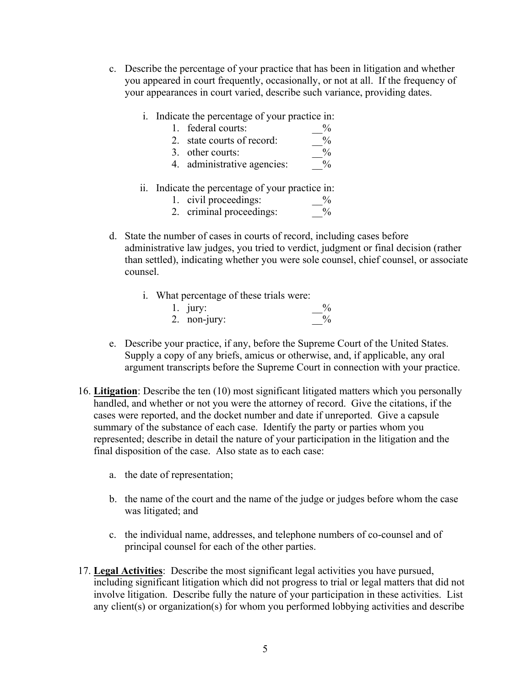- c. Describe the percentage of your practice that has been in litigation and whether you appeared in court frequently, occasionally, or not at all. If the frequency of your appearances in court varied, describe such variance, providing dates.
	- i. Indicate the percentage of your practice in:
		- 1. federal courts:  $\frac{\%}{\%}$ <br>2. state courts of record:  $\frac{\%}{\%}$
		- 2. state courts of record:
		-
		- 3. other courts:  $\frac{9}{4}$  administrative agencies:  $\frac{9}{4}$ 4. administrative agencies:
	- ii. Indicate the percentage of your practice in:

|  | 1. civil proceedings: | $\frac{0}{0}$ |
|--|-----------------------|---------------|
|  |                       |               |

- 2. criminal proceedings:  $\frac{9}{6}$
- d. State the number of cases in courts of record, including cases before administrative law judges, you tried to verdict, judgment or final decision (rather than settled), indicating whether you were sole counsel, chief counsel, or associate counsel.
	- i. What percentage of these trials were:

| $1.$ jury:   |  |
|--------------|--|
| 2. non-jury: |  |

- e. Describe your practice, if any, before the Supreme Court of the United States. Supply a copy of any briefs, amicus or otherwise, and, if applicable, any oral argument transcripts before the Supreme Court in connection with your practice.
- 16. **Litigation**: Describe the ten (10) most significant litigated matters which you personally handled, and whether or not you were the attorney of record. Give the citations, if the cases were reported, and the docket number and date if unreported. Give a capsule summary of the substance of each case. Identify the party or parties whom you represented; describe in detail the nature of your participation in the litigation and the final disposition of the case. Also state as to each case:
	- a. the date of representation;
	- b. the name of the court and the name of the judge or judges before whom the case was litigated; and
	- c. the individual name, addresses, and telephone numbers of co-counsel and of principal counsel for each of the other parties.
- 17. **Legal Activities**: Describe the most significant legal activities you have pursued, including significant litigation which did not progress to trial or legal matters that did not involve litigation. Describe fully the nature of your participation in these activities. List any client(s) or organization(s) for whom you performed lobbying activities and describe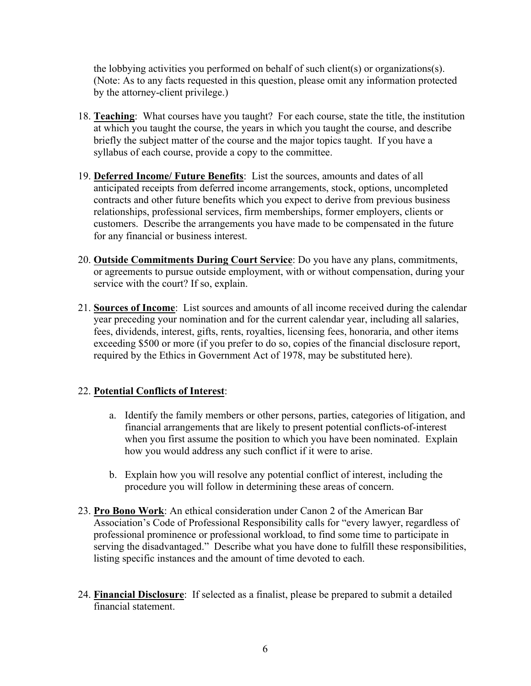the lobbying activities you performed on behalf of such client(s) or organizations(s). (Note: As to any facts requested in this question, please omit any information protected by the attorney-client privilege.)

- 18. **Teaching**: What courses have you taught? For each course, state the title, the institution at which you taught the course, the years in which you taught the course, and describe briefly the subject matter of the course and the major topics taught. If you have a syllabus of each course, provide a copy to the committee.
- 19. **Deferred Income/ Future Benefits**: List the sources, amounts and dates of all anticipated receipts from deferred income arrangements, stock, options, uncompleted contracts and other future benefits which you expect to derive from previous business relationships, professional services, firm memberships, former employers, clients or customers. Describe the arrangements you have made to be compensated in the future for any financial or business interest.
- 20. **Outside Commitments During Court Service**: Do you have any plans, commitments, or agreements to pursue outside employment, with or without compensation, during your service with the court? If so, explain.
- 21. **Sources of Income**: List sources and amounts of all income received during the calendar year preceding your nomination and for the current calendar year, including all salaries, fees, dividends, interest, gifts, rents, royalties, licensing fees, honoraria, and other items exceeding \$500 or more (if you prefer to do so, copies of the financial disclosure report, required by the Ethics in Government Act of 1978, may be substituted here).

### 22. **Potential Conflicts of Interest**:

- a. Identify the family members or other persons, parties, categories of litigation, and financial arrangements that are likely to present potential conflicts-of-interest when you first assume the position to which you have been nominated. Explain how you would address any such conflict if it were to arise.
- b. Explain how you will resolve any potential conflict of interest, including the procedure you will follow in determining these areas of concern.
- 23. **Pro Bono Work**: An ethical consideration under Canon 2 of the American Bar Association's Code of Professional Responsibility calls for "every lawyer, regardless of professional prominence or professional workload, to find some time to participate in serving the disadvantaged." Describe what you have done to fulfill these responsibilities, listing specific instances and the amount of time devoted to each.
- 24. **Financial Disclosure**: If selected as a finalist, please be prepared to submit a detailed financial statement.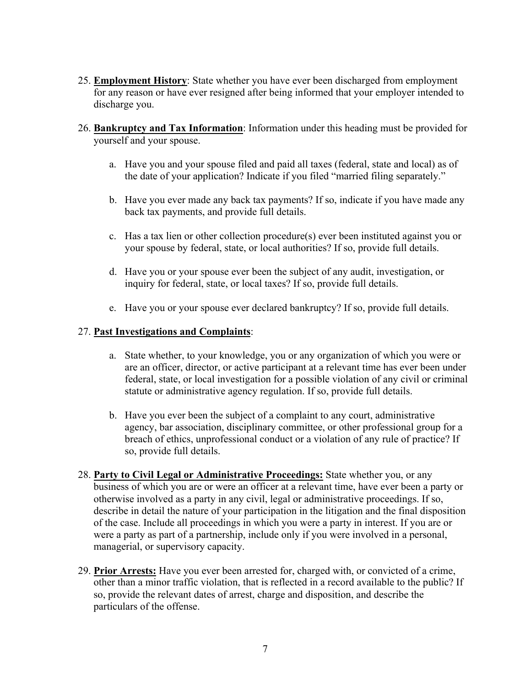- 25. **Employment History**: State whether you have ever been discharged from employment for any reason or have ever resigned after being informed that your employer intended to discharge you.
- 26. **Bankruptcy and Tax Information**: Information under this heading must be provided for yourself and your spouse.
	- a. Have you and your spouse filed and paid all taxes (federal, state and local) as of the date of your application? Indicate if you filed "married filing separately."
	- b. Have you ever made any back tax payments? If so, indicate if you have made any back tax payments, and provide full details.
	- c. Has a tax lien or other collection procedure(s) ever been instituted against you or your spouse by federal, state, or local authorities? If so, provide full details.
	- d. Have you or your spouse ever been the subject of any audit, investigation, or inquiry for federal, state, or local taxes? If so, provide full details.
	- e. Have you or your spouse ever declared bankruptcy? If so, provide full details.

# 27. **Past Investigations and Complaints**:

- a. State whether, to your knowledge, you or any organization of which you were or are an officer, director, or active participant at a relevant time has ever been under federal, state, or local investigation for a possible violation of any civil or criminal statute or administrative agency regulation. If so, provide full details.
- b. Have you ever been the subject of a complaint to any court, administrative agency, bar association, disciplinary committee, or other professional group for a breach of ethics, unprofessional conduct or a violation of any rule of practice? If so, provide full details.
- 28. **Party to Civil Legal or Administrative Proceedings:** State whether you, or any business of which you are or were an officer at a relevant time, have ever been a party or otherwise involved as a party in any civil, legal or administrative proceedings. If so, describe in detail the nature of your participation in the litigation and the final disposition of the case. Include all proceedings in which you were a party in interest. If you are or were a party as part of a partnership, include only if you were involved in a personal, managerial, or supervisory capacity.
- 29. **Prior Arrests:** Have you ever been arrested for, charged with, or convicted of a crime, other than a minor traffic violation, that is reflected in a record available to the public? If so, provide the relevant dates of arrest, charge and disposition, and describe the particulars of the offense.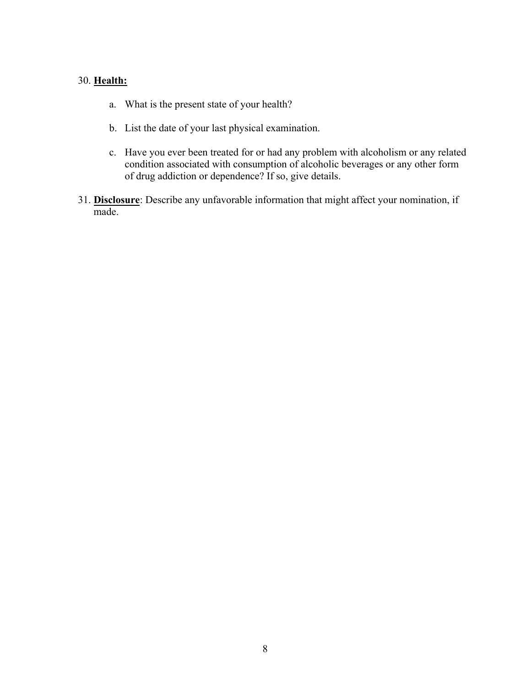#### 30. **Health:**

- a. What is the present state of your health?
- b. List the date of your last physical examination.
- c. Have you ever been treated for or had any problem with alcoholism or any related condition associated with consumption of alcoholic beverages or any other form of drug addiction or dependence? If so, give details.
- 31. **Disclosure**: Describe any unfavorable information that might affect your nomination, if made.